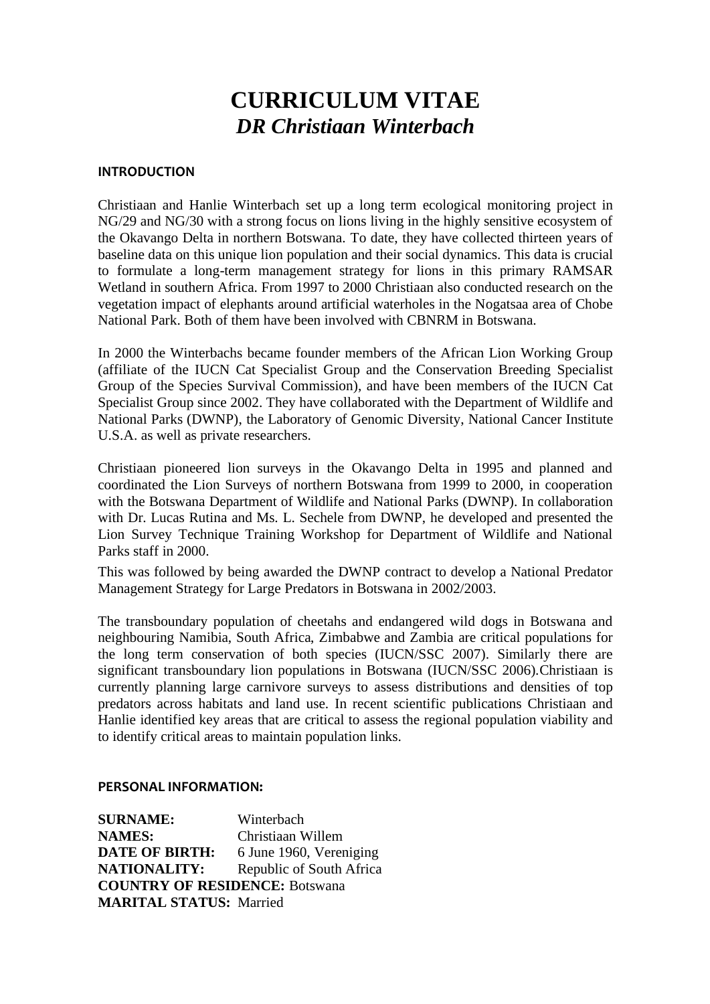# **CURRICULUM VITAE** *DR Christiaan Winterbach*

## **INTRODUCTION**

Christiaan and Hanlie Winterbach set up a long term ecological monitoring project in NG/29 and NG/30 with a strong focus on lions living in the highly sensitive ecosystem of the Okavango Delta in northern Botswana. To date, they have collected thirteen years of baseline data on this unique lion population and their social dynamics. This data is crucial to formulate a long-term management strategy for lions in this primary RAMSAR Wetland in southern Africa. From 1997 to 2000 Christiaan also conducted research on the vegetation impact of elephants around artificial waterholes in the Nogatsaa area of Chobe National Park. Both of them have been involved with CBNRM in Botswana.

In 2000 the Winterbachs became founder members of the African Lion Working Group (affiliate of the IUCN Cat Specialist Group and the Conservation Breeding Specialist Group of the Species Survival Commission), and have been members of the IUCN Cat Specialist Group since 2002. They have collaborated with the Department of Wildlife and National Parks (DWNP), the Laboratory of Genomic Diversity, National Cancer Institute U.S.A. as well as private researchers.

Christiaan pioneered lion surveys in the Okavango Delta in 1995 and planned and coordinated the Lion Surveys of northern Botswana from 1999 to 2000, in cooperation with the Botswana Department of Wildlife and National Parks (DWNP). In collaboration with Dr. Lucas Rutina and Ms. L. Sechele from DWNP, he developed and presented the Lion Survey Technique Training Workshop for Department of Wildlife and National Parks staff in 2000.

This was followed by being awarded the DWNP contract to develop a National Predator Management Strategy for Large Predators in Botswana in 2002/2003.

The transboundary population of cheetahs and endangered wild dogs in Botswana and neighbouring Namibia, South Africa, Zimbabwe and Zambia are critical populations for the long term conservation of both species (IUCN/SSC 2007). Similarly there are significant transboundary lion populations in Botswana (IUCN/SSC 2006).Christiaan is currently planning large carnivore surveys to assess distributions and densities of top predators across habitats and land use. In recent scientific publications Christiaan and Hanlie identified key areas that are critical to assess the regional population viability and to identify critical areas to maintain population links.

#### **PERSONAL INFORMATION:**

**SURNAME:** Winterbach **NAMES:** Christiaan Willem **DATE OF BIRTH:** 6 June 1960, Vereniging **NATIONALITY:** Republic of South Africa **COUNTRY OF RESIDENCE:** Botswana **MARITAL STATUS:** Married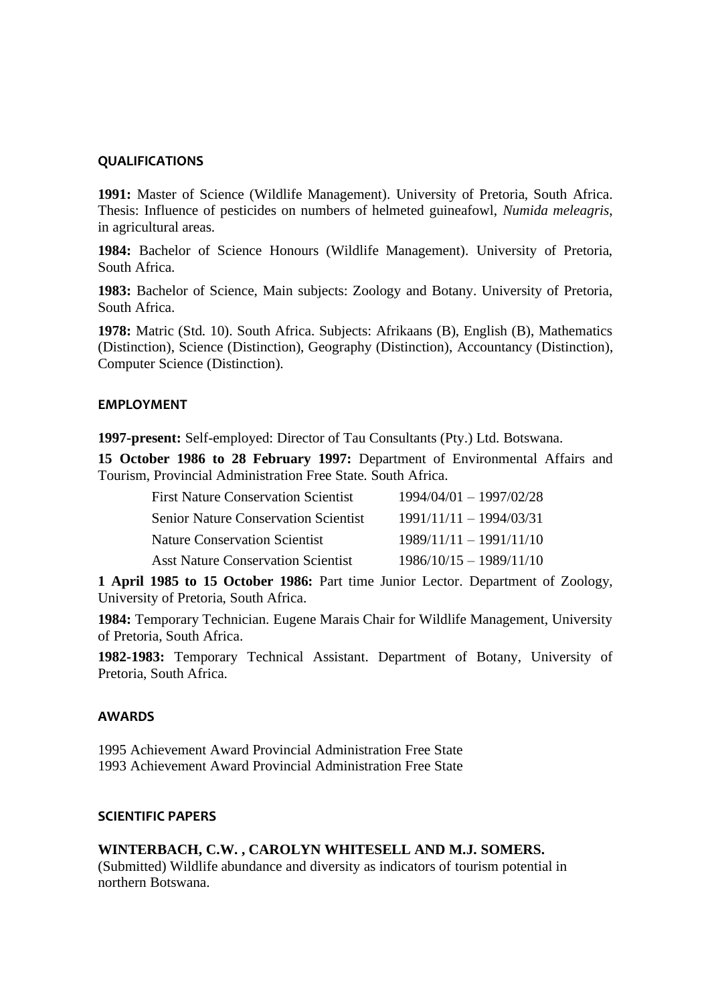### **QUALIFICATIONS**

**1991:** Master of Science (Wildlife Management). University of Pretoria, South Africa. Thesis: Influence of pesticides on numbers of helmeted guineafowl, *Numida meleagris*, in agricultural areas.

**1984:** Bachelor of Science Honours (Wildlife Management). University of Pretoria, South Africa.

**1983:** Bachelor of Science, Main subjects: Zoology and Botany. University of Pretoria, South Africa.

**1978:** Matric (Std. 10). South Africa. Subjects: Afrikaans (B), English (B), Mathematics (Distinction), Science (Distinction), Geography (Distinction), Accountancy (Distinction), Computer Science (Distinction).

#### **EMPLOYMENT**

**1997-present:** Self-employed: Director of Tau Consultants (Pty.) Ltd. Botswana.

**15 October 1986 to 28 February 1997:** Department of Environmental Affairs and Tourism, Provincial Administration Free State. South Africa.

| <b>First Nature Conservation Scientist</b>  | $1994/04/01 - 1997/02/28$ |
|---------------------------------------------|---------------------------|
| <b>Senior Nature Conservation Scientist</b> | $1991/11/11 - 1994/03/31$ |
| Nature Conservation Scientist               | $1989/11/11 - 1991/11/10$ |
| <b>Asst Nature Conservation Scientist</b>   | $1986/10/15 - 1989/11/10$ |

**1 April 1985 to 15 October 1986:** Part time Junior Lector. Department of Zoology, University of Pretoria, South Africa.

**1984:** Temporary Technician. Eugene Marais Chair for Wildlife Management, University of Pretoria, South Africa.

**1982-1983:** Temporary Technical Assistant. Department of Botany, University of Pretoria, South Africa.

## **AWARDS**

1995 Achievement Award Provincial Administration Free State 1993 Achievement Award Provincial Administration Free State

#### **SCIENTIFIC PAPERS**

#### **WINTERBACH, C.W. , CAROLYN WHITESELL AND M.J. SOMERS.**

(Submitted) Wildlife abundance and diversity as indicators of tourism potential in northern Botswana.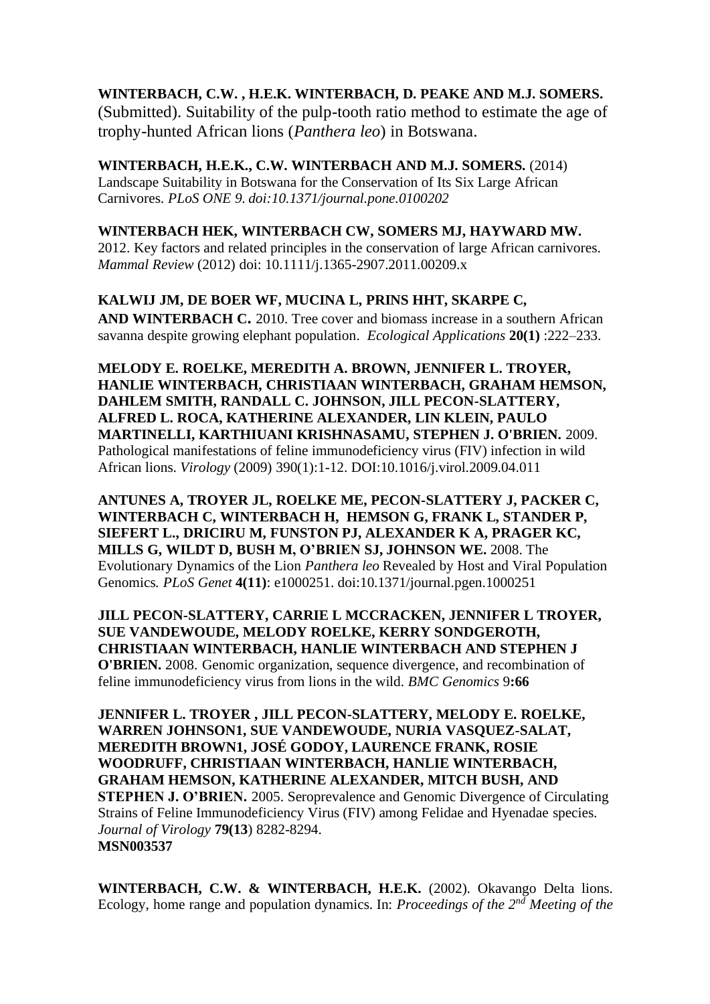# **WINTERBACH, C.W. , H.E.K. WINTERBACH, D. PEAKE AND M.J. SOMERS.**

(Submitted). Suitability of the pulp-tooth ratio method to estimate the age of trophy-hunted African lions (*Panthera leo*) in Botswana.

**WINTERBACH, H.E.K., C.W. WINTERBACH AND M.J. SOMERS.** (2014) Landscape Suitability in Botswana for the Conservation of Its Six Large African Carnivores. *PLoS ONE 9*. *doi:10.1371/journal.pone.0100202*

# **WINTERBACH HEK, WINTERBACH CW, SOMERS MJ, HAYWARD MW.**

2012. Key factors and related principles in the conservation of large African carnivores. *Mammal Review* (2012) doi: 10.1111/j.1365-2907.2011.00209.x

# **KALWIJ JM, DE BOER WF, MUCINA L, PRINS HHT, SKARPE C,**

**AND WINTERBACH C.** 2010. Tree cover and biomass increase in a southern African savanna despite growing elephant population. *Ecological Applications* **20(1)** :222–233.

**MELODY E. ROELKE, MEREDITH A. BROWN, JENNIFER L. TROYER, HANLIE WINTERBACH, CHRISTIAAN WINTERBACH, GRAHAM HEMSON, DAHLEM SMITH, RANDALL C. JOHNSON, JILL PECON-SLATTERY, ALFRED L. ROCA, KATHERINE ALEXANDER, LIN KLEIN, PAULO MARTINELLI, KARTHIUANI KRISHNASAMU, STEPHEN J. O'BRIEN.** 2009. Pathological manifestations of feline immunodeficiency virus (FIV) infection in wild African lions. *Virology* (2009) 390(1):1-12. DOI:10.1016/j.virol.2009.04.011

**ANTUNES A, TROYER JL, ROELKE ME, PECON-SLATTERY J, PACKER C, WINTERBACH C, WINTERBACH H, HEMSON G, FRANK L, STANDER P, SIEFERT L., DRICIRU M, FUNSTON PJ, ALEXANDER K A, PRAGER KC, MILLS G, WILDT D, BUSH M, O'BRIEN SJ, JOHNSON WE.** 2008. The Evolutionary Dynamics of the Lion *Panthera leo* Revealed by Host and Viral Population Genomics*. PLoS Genet* **4(11)**: e1000251. doi:10.1371/journal.pgen.1000251

**JILL PECON-SLATTERY, CARRIE L MCCRACKEN, JENNIFER L TROYER, SUE VANDEWOUDE, MELODY ROELKE, KERRY SONDGEROTH, CHRISTIAAN WINTERBACH, HANLIE WINTERBACH AND STEPHEN J O'BRIEN.** 2008. Genomic organization, sequence divergence, and recombination of feline immunodeficiency virus from lions in the wild. *BMC Genomics* 9**:66**

**JENNIFER L. TROYER , JILL PECON-SLATTERY, MELODY E. ROELKE, WARREN JOHNSON1, SUE VANDEWOUDE, NURIA VASQUEZ-SALAT, MEREDITH BROWN1, JOSÉ GODOY, LAURENCE FRANK, ROSIE WOODRUFF, CHRISTIAAN WINTERBACH, HANLIE WINTERBACH, GRAHAM HEMSON, KATHERINE ALEXANDER, MITCH BUSH, AND STEPHEN J. O'BRIEN.** 2005. Seroprevalence and Genomic Divergence of Circulating Strains of Feline Immunodeficiency Virus (FIV) among Felidae and Hyenadae species. *Journal of Virology* **79(13**) 8282-8294. **MSN003537**

**WINTERBACH, C.W. & WINTERBACH, H.E.K.** (2002). Okavango Delta lions. Ecology, home range and population dynamics. In: *Proceedings of the 2nd Meeting of the*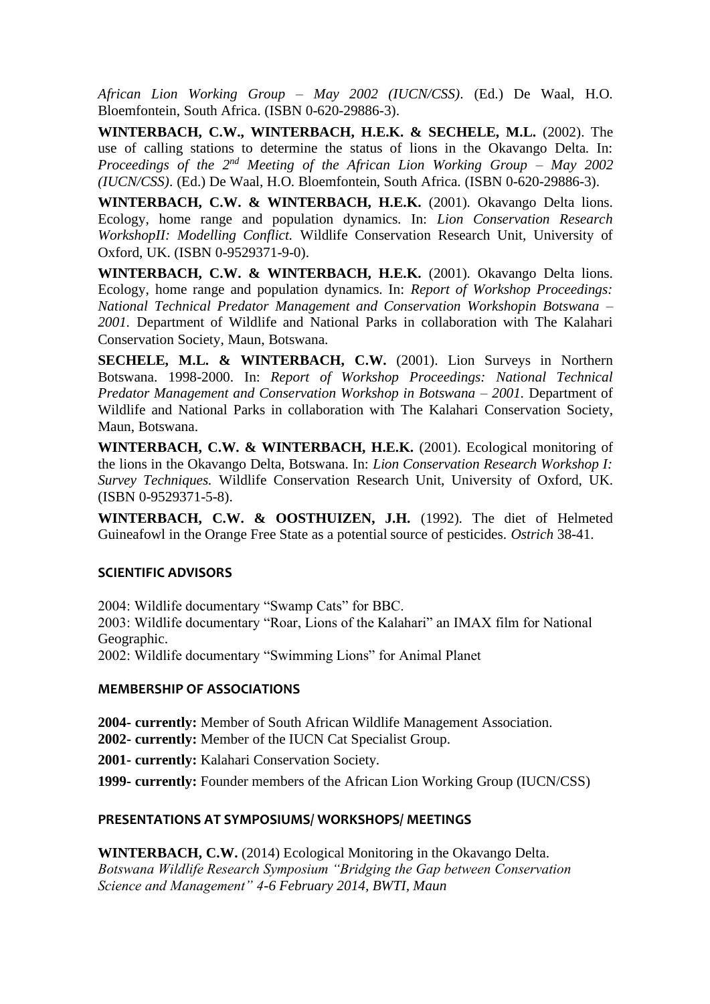*African Lion Working Group – May 2002 (IUCN/CSS)*. (Ed.) De Waal, H.O. Bloemfontein, South Africa. (ISBN 0-620-29886-3).

**WINTERBACH, C.W., WINTERBACH, H.E.K. & SECHELE, M.L.** (2002). The use of calling stations to determine the status of lions in the Okavango Delta. In: *Proceedings of the 2nd Meeting of the African Lion Working Group – May 2002 (IUCN/CSS)*. (Ed.) De Waal, H.O. Bloemfontein, South Africa. (ISBN 0-620-29886-3).

**WINTERBACH, C.W. & WINTERBACH, H.E.K.** (2001). Okavango Delta lions. Ecology, home range and population dynamics. In: *Lion Conservation Research WorkshopII: Modelling Conflict.* Wildlife Conservation Research Unit, University of Oxford, UK. (ISBN 0-9529371-9-0).

**WINTERBACH, C.W. & WINTERBACH, H.E.K.** (2001). Okavango Delta lions. Ecology, home range and population dynamics. In: *Report of Workshop Proceedings: National Technical Predator Management and Conservation Workshopin Botswana – 2001.* Department of Wildlife and National Parks in collaboration with The Kalahari Conservation Society, Maun, Botswana.

**SECHELE, M.L. & WINTERBACH, C.W.** (2001). Lion Surveys in Northern Botswana. 1998-2000. In: *Report of Workshop Proceedings: National Technical Predator Management and Conservation Workshop in Botswana – 2001.* Department of Wildlife and National Parks in collaboration with The Kalahari Conservation Society, Maun, Botswana.

**WINTERBACH, C.W. & WINTERBACH, H.E.K.** (2001). Ecological monitoring of the lions in the Okavango Delta, Botswana. In: *Lion Conservation Research Workshop I: Survey Techniques.* Wildlife Conservation Research Unit, University of Oxford, UK. (ISBN 0-9529371-5-8).

**WINTERBACH, C.W. & OOSTHUIZEN, J.H.** (1992). The diet of Helmeted Guineafowl in the Orange Free State as a potential source of pesticides. *Ostrich* 38-41.

# **SCIENTIFIC ADVISORS**

2004: Wildlife documentary "Swamp Cats" for BBC.

2003: Wildlife documentary "Roar, Lions of the Kalahari" an IMAX film for National Geographic.

2002: Wildlife documentary "Swimming Lions" for Animal Planet

## **MEMBERSHIP OF ASSOCIATIONS**

**2004- currently:** Member of South African Wildlife Management Association. **2002- currently:** Member of the IUCN Cat Specialist Group.

**2001- currently:** Kalahari Conservation Society.

**1999- currently:** Founder members of the African Lion Working Group (IUCN/CSS)

# **PRESENTATIONS AT SYMPOSIUMS/ WORKSHOPS/ MEETINGS**

**WINTERBACH, C.W.** (2014) Ecological Monitoring in the Okavango Delta. *Botswana Wildlife Research Symposium "Bridging the Gap between Conservation Science and Management" 4-6 February 2014, BWTI, Maun*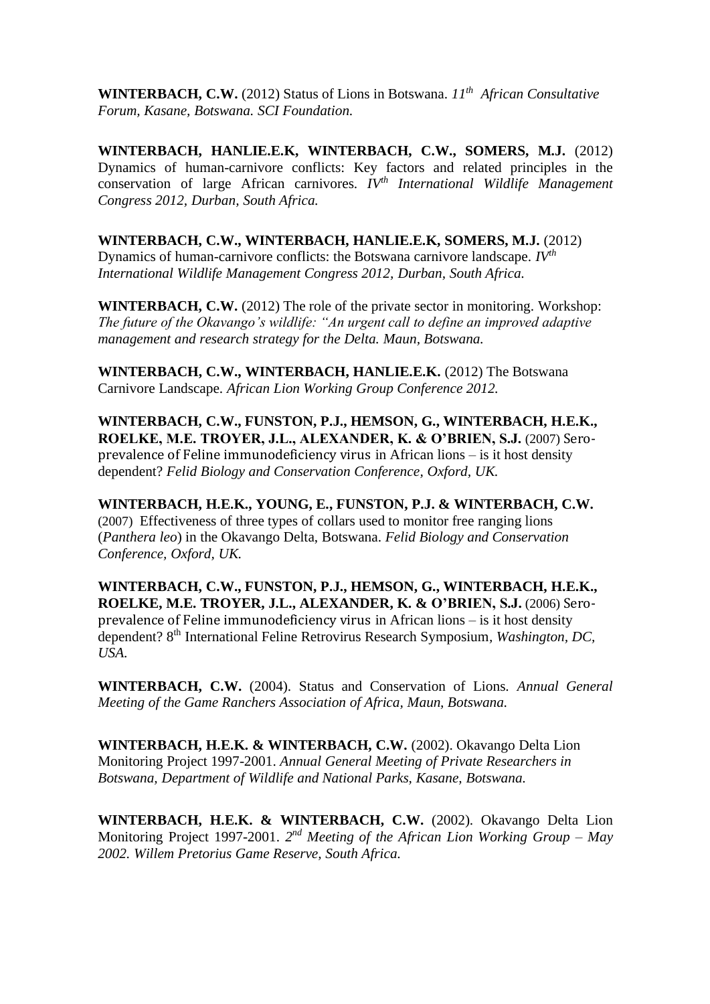**WINTERBACH, C.W.** (2012) Status of Lions in Botswana. *11th African Consultative Forum, Kasane, Botswana. SCI Foundation.*

**WINTERBACH, HANLIE.E.K, WINTERBACH, C.W., SOMERS, M.J.** (2012) Dynamics of human-carnivore conflicts: Key factors and related principles in the conservation of large African carnivores. *IVth International Wildlife Management Congress 2012, Durban, South Africa.*

**WINTERBACH, C.W., WINTERBACH, HANLIE.E.K, SOMERS, M.J.** (2012) Dynamics of human-carnivore conflicts: the Botswana carnivore landscape. *IVth International Wildlife Management Congress 2012, Durban, South Africa.*

**WINTERBACH, C.W.** (2012) The role of the private sector in monitoring. Workshop: *The future of the Okavango's wildlife: "An urgent call to define an improved adaptive management and research strategy for the Delta. Maun, Botswana.*

**WINTERBACH, C.W., WINTERBACH, HANLIE.E.K.** (2012) The Botswana Carnivore Landscape. *African Lion Working Group Conference 2012.*

**WINTERBACH, C.W., FUNSTON, P.J., HEMSON, G., WINTERBACH, H.E.K., ROELKE, M.E. TROYER, J.L., ALEXANDER, K. & O'BRIEN, S.J.** (2007) Seroprevalence of Feline immunodeficiency virus in African lions – is it host density dependent? *Felid Biology and Conservation Conference, Oxford, UK.*

**WINTERBACH, H.E.K., YOUNG, E., FUNSTON, P.J. & WINTERBACH, C.W.** (2007) Effectiveness of three types of collars used to monitor free ranging lions (*Panthera leo*) in the Okavango Delta, Botswana. *Felid Biology and Conservation Conference, Oxford, UK.*

**WINTERBACH, C.W., FUNSTON, P.J., HEMSON, G., WINTERBACH, H.E.K., ROELKE, M.E. TROYER, J.L., ALEXANDER, K. & O'BRIEN, S.J.** (2006) Seroprevalence of Feline immunodeficiency virus in African lions – is it host density dependent? 8<sup>th</sup> International Feline Retrovirus Research Symposium, Washington, DC, *USA.*

**WINTERBACH, C.W.** (2004). Status and Conservation of Lions. *Annual General Meeting of the Game Ranchers Association of Africa, Maun, Botswana.*

**WINTERBACH, H.E.K. & WINTERBACH, C.W.** (2002). Okavango Delta Lion Monitoring Project 1997-2001. *Annual General Meeting of Private Researchers in Botswana, Department of Wildlife and National Parks, Kasane, Botswana.*

**WINTERBACH, H.E.K. & WINTERBACH, C.W.** (2002). Okavango Delta Lion Monitoring Project 1997-2001. 2<sup>nd</sup> Meeting of the African Lion Working Group – May *2002. Willem Pretorius Game Reserve, South Africa.*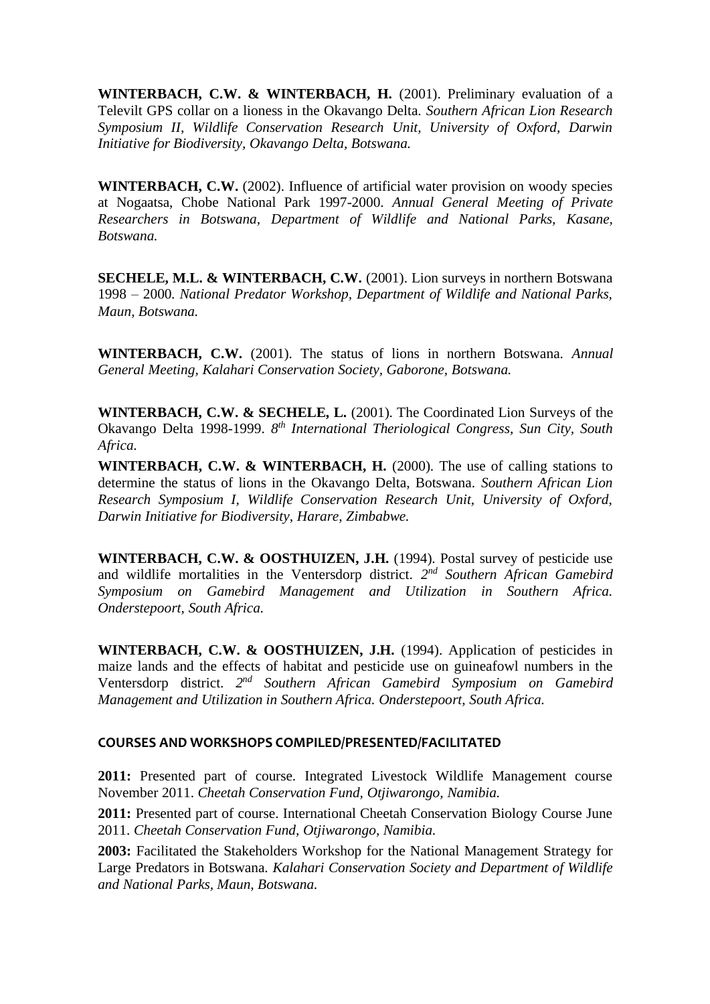**WINTERBACH, C.W. & WINTERBACH, H.** (2001). Preliminary evaluation of a Televilt GPS collar on a lioness in the Okavango Delta. *Southern African Lion Research Symposium II, Wildlife Conservation Research Unit, University of Oxford, Darwin Initiative for Biodiversity, Okavango Delta, Botswana.*

**WINTERBACH, C.W.** (2002). Influence of artificial water provision on woody species at Nogaatsa, Chobe National Park 1997-2000. *Annual General Meeting of Private Researchers in Botswana, Department of Wildlife and National Parks, Kasane, Botswana.*

**SECHELE, M.L. & WINTERBACH, C.W.** (2001). Lion surveys in northern Botswana 1998 – 2000. *National Predator Workshop, Department of Wildlife and National Parks, Maun, Botswana.*

**WINTERBACH, C.W.** (2001). The status of lions in northern Botswana. *Annual General Meeting, Kalahari Conservation Society, Gaborone, Botswana.*

**WINTERBACH, C.W. & SECHELE, L.** (2001). The Coordinated Lion Surveys of the Okavango Delta 1998-1999. *8 th International Theriological Congress, Sun City, South Africa.*

**WINTERBACH, C.W. & WINTERBACH, H.** (2000). The use of calling stations to determine the status of lions in the Okavango Delta, Botswana. *Southern African Lion Research Symposium I, Wildlife Conservation Research Unit, University of Oxford, Darwin Initiative for Biodiversity, Harare, Zimbabwe.*

**WINTERBACH, C.W. & OOSTHUIZEN, J.H.** (1994). Postal survey of pesticide use and wildlife mortalities in the Ventersdorp district. *2 nd Southern African Gamebird Symposium on Gamebird Management and Utilization in Southern Africa. Onderstepoort, South Africa.*

**WINTERBACH, C.W. & OOSTHUIZEN, J.H.** (1994). Application of pesticides in maize lands and the effects of habitat and pesticide use on guineafowl numbers in the Ventersdorp district. *2 nd Southern African Gamebird Symposium on Gamebird Management and Utilization in Southern Africa. Onderstepoort, South Africa.*

## **COURSES AND WORKSHOPS COMPILED/PRESENTED/FACILITATED**

**2011:** Presented part of course. Integrated Livestock Wildlife Management course November 2011. *Cheetah Conservation Fund, Otjiwarongo, Namibia.*

**2011:** Presented part of course. International Cheetah Conservation Biology Course June 2011. *Cheetah Conservation Fund, Otjiwarongo, Namibia.*

**2003:** Facilitated the Stakeholders Workshop for the National Management Strategy for Large Predators in Botswana. *Kalahari Conservation Society and Department of Wildlife and National Parks, Maun, Botswana.*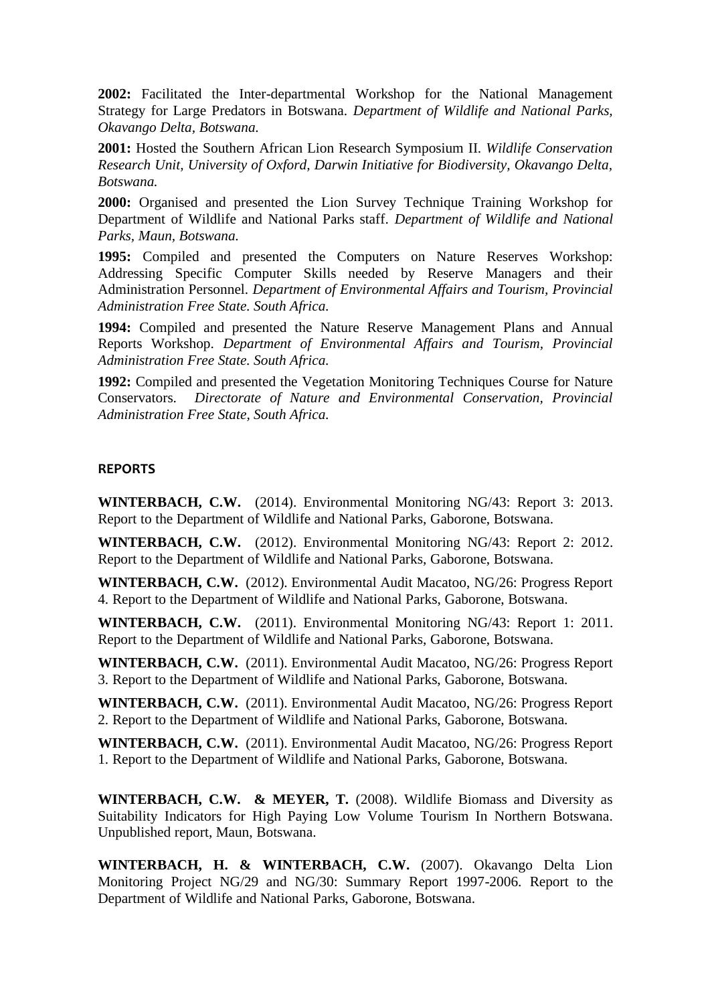**2002:** Facilitated the Inter-departmental Workshop for the National Management Strategy for Large Predators in Botswana. *Department of Wildlife and National Parks, Okavango Delta, Botswana.*

**2001:** Hosted the Southern African Lion Research Symposium II. *Wildlife Conservation Research Unit, University of Oxford, Darwin Initiative for Biodiversity, Okavango Delta, Botswana.*

**2000:** Organised and presented the Lion Survey Technique Training Workshop for Department of Wildlife and National Parks staff. *Department of Wildlife and National Parks, Maun, Botswana.*

**1995:** Compiled and presented the Computers on Nature Reserves Workshop: Addressing Specific Computer Skills needed by Reserve Managers and their Administration Personnel. *Department of Environmental Affairs and Tourism, Provincial Administration Free State. South Africa.*

**1994:** Compiled and presented the Nature Reserve Management Plans and Annual Reports Workshop. *Department of Environmental Affairs and Tourism, Provincial Administration Free State. South Africa.*

**1992:** Compiled and presented the Vegetation Monitoring Techniques Course for Nature Conservators. *Directorate of Nature and Environmental Conservation, Provincial Administration Free State, South Africa.*

### **REPORTS**

**WINTERBACH, C.W.** (2014). Environmental Monitoring NG/43: Report 3: 2013. Report to the Department of Wildlife and National Parks, Gaborone, Botswana.

**WINTERBACH, C.W.** (2012). Environmental Monitoring NG/43: Report 2: 2012. Report to the Department of Wildlife and National Parks, Gaborone, Botswana.

**WINTERBACH, C.W.** (2012). Environmental Audit Macatoo, NG/26: Progress Report 4. Report to the Department of Wildlife and National Parks, Gaborone, Botswana.

**WINTERBACH, C.W.** (2011). Environmental Monitoring NG/43: Report 1: 2011. Report to the Department of Wildlife and National Parks, Gaborone, Botswana.

**WINTERBACH, C.W.** (2011). Environmental Audit Macatoo, NG/26: Progress Report 3. Report to the Department of Wildlife and National Parks, Gaborone, Botswana.

**WINTERBACH, C.W.** (2011). Environmental Audit Macatoo, NG/26: Progress Report 2. Report to the Department of Wildlife and National Parks, Gaborone, Botswana.

**WINTERBACH, C.W.** (2011). Environmental Audit Macatoo, NG/26: Progress Report 1. Report to the Department of Wildlife and National Parks, Gaborone, Botswana.

**WINTERBACH, C.W. & MEYER, T.** (2008). Wildlife Biomass and Diversity as Suitability Indicators for High Paying Low Volume Tourism In Northern Botswana. Unpublished report, Maun, Botswana.

**WINTERBACH, H. & WINTERBACH, C.W.** (2007). Okavango Delta Lion Monitoring Project NG/29 and NG/30: Summary Report 1997-2006. Report to the Department of Wildlife and National Parks, Gaborone, Botswana.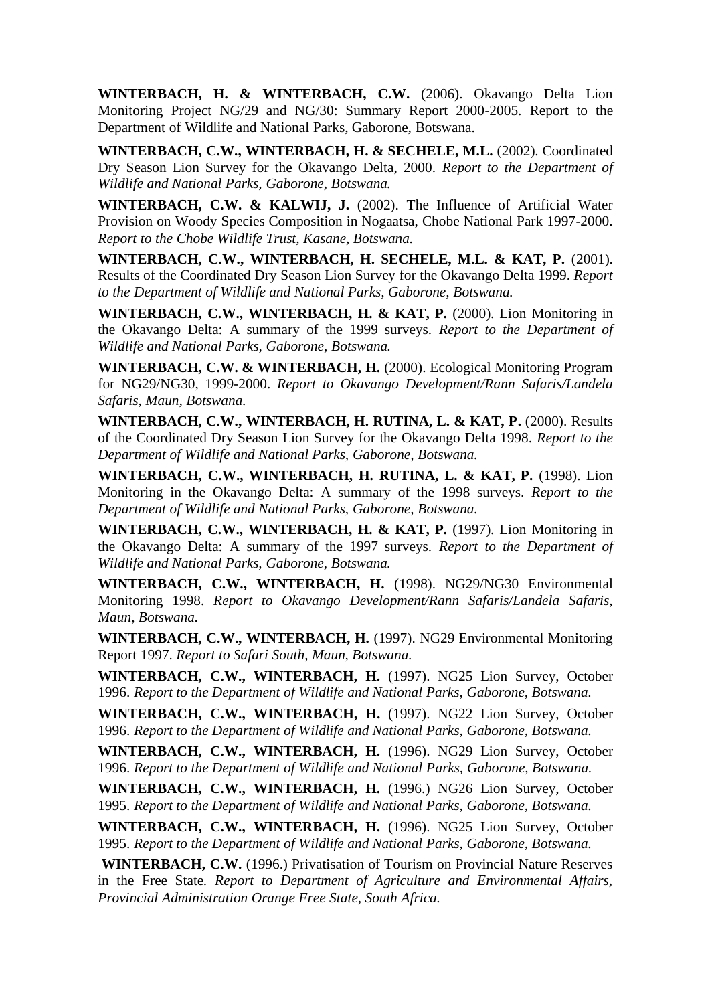**WINTERBACH, H. & WINTERBACH, C.W.** (2006). Okavango Delta Lion Monitoring Project NG/29 and NG/30: Summary Report 2000-2005. Report to the Department of Wildlife and National Parks, Gaborone, Botswana.

**WINTERBACH, C.W., WINTERBACH, H. & SECHELE, M.L.** (2002). Coordinated Dry Season Lion Survey for the Okavango Delta, 2000. *Report to the Department of Wildlife and National Parks, Gaborone, Botswana.*

WINTERBACH, C.W. & KALWIJ, J. (2002). The Influence of Artificial Water Provision on Woody Species Composition in Nogaatsa, Chobe National Park 1997-2000. *Report to the Chobe Wildlife Trust, Kasane, Botswana.*

**WINTERBACH, C.W., WINTERBACH, H. SECHELE, M.L. & KAT, P.** (2001). Results of the Coordinated Dry Season Lion Survey for the Okavango Delta 1999. *Report to the Department of Wildlife and National Parks, Gaborone, Botswana.*

**WINTERBACH, C.W., WINTERBACH, H. & KAT, P.** (2000). Lion Monitoring in the Okavango Delta: A summary of the 1999 surveys. *Report to the Department of Wildlife and National Parks, Gaborone, Botswana.*

**WINTERBACH, C.W. & WINTERBACH, H.** (2000). Ecological Monitoring Program for NG29/NG30, 1999-2000. *Report to Okavango Development/Rann Safaris/Landela Safaris, Maun, Botswana.*

**WINTERBACH, C.W., WINTERBACH, H. RUTINA, L. & KAT, P.** (2000). Results of the Coordinated Dry Season Lion Survey for the Okavango Delta 1998. *Report to the Department of Wildlife and National Parks, Gaborone, Botswana.*

**WINTERBACH, C.W., WINTERBACH, H. RUTINA, L. & KAT, P.** (1998). Lion Monitoring in the Okavango Delta: A summary of the 1998 surveys. *Report to the Department of Wildlife and National Parks, Gaborone, Botswana.*

**WINTERBACH, C.W., WINTERBACH, H. & KAT, P.** (1997). Lion Monitoring in the Okavango Delta: A summary of the 1997 surveys. *Report to the Department of Wildlife and National Parks, Gaborone, Botswana.*

**WINTERBACH, C.W., WINTERBACH, H.** (1998). NG29/NG30 Environmental Monitoring 1998. *Report to Okavango Development/Rann Safaris/Landela Safaris, Maun, Botswana.*

**WINTERBACH, C.W., WINTERBACH, H.** (1997). NG29 Environmental Monitoring Report 1997. *Report to Safari South, Maun, Botswana.*

**WINTERBACH, C.W., WINTERBACH, H.** (1997). NG25 Lion Survey, October 1996. *Report to the Department of Wildlife and National Parks, Gaborone, Botswana.*

**WINTERBACH, C.W., WINTERBACH, H.** (1997). NG22 Lion Survey, October 1996. *Report to the Department of Wildlife and National Parks, Gaborone, Botswana.*

**WINTERBACH, C.W., WINTERBACH, H.** (1996). NG29 Lion Survey, October 1996. *Report to the Department of Wildlife and National Parks, Gaborone, Botswana.*

**WINTERBACH, C.W., WINTERBACH, H.** (1996.) NG26 Lion Survey, October 1995. *Report to the Department of Wildlife and National Parks, Gaborone, Botswana.*

**WINTERBACH, C.W., WINTERBACH, H.** (1996). NG25 Lion Survey, October 1995. *Report to the Department of Wildlife and National Parks, Gaborone, Botswana.*

**WINTERBACH, C.W.** (1996.) Privatisation of Tourism on Provincial Nature Reserves in the Free State. *Report to Department of Agriculture and Environmental Affairs, Provincial Administration Orange Free State, South Africa.*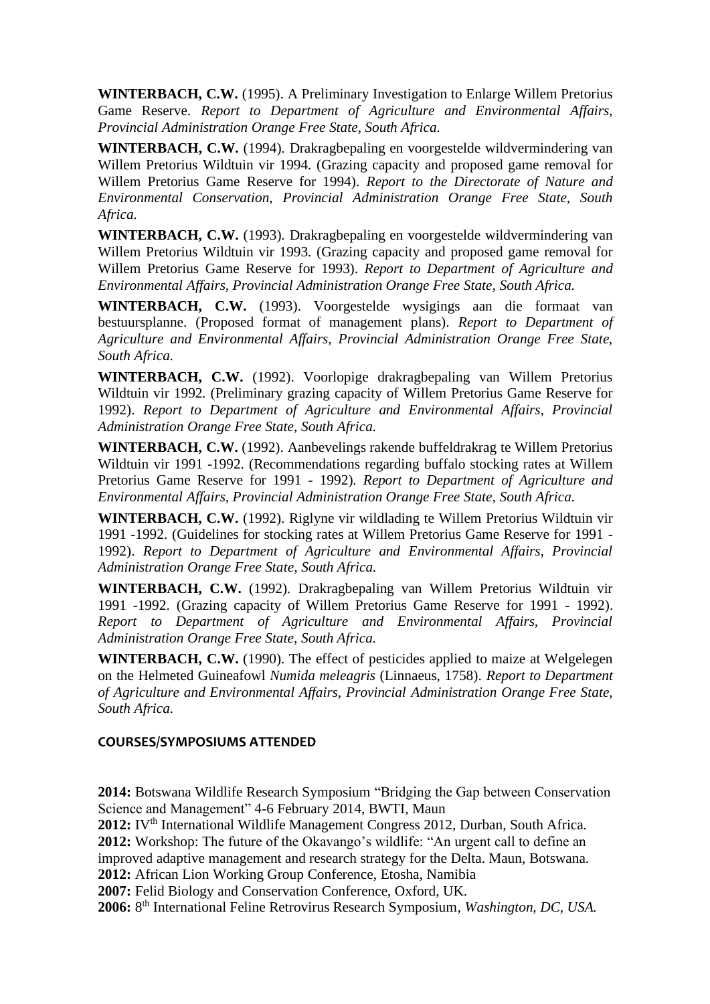**WINTERBACH, C.W.** (1995). A Preliminary Investigation to Enlarge Willem Pretorius Game Reserve. *Report to Department of Agriculture and Environmental Affairs, Provincial Administration Orange Free State, South Africa.*

**WINTERBACH, C.W.** (1994). Drakragbepaling en voorgestelde wildvermindering van Willem Pretorius Wildtuin vir 1994. (Grazing capacity and proposed game removal for Willem Pretorius Game Reserve for 1994). *Report to the Directorate of Nature and Environmental Conservation, Provincial Administration Orange Free State, South Africa.*

**WINTERBACH, C.W.** (1993). Drakragbepaling en voorgestelde wildvermindering van Willem Pretorius Wildtuin vir 1993. (Grazing capacity and proposed game removal for Willem Pretorius Game Reserve for 1993). *Report to Department of Agriculture and Environmental Affairs, Provincial Administration Orange Free State, South Africa.*

**WINTERBACH, C.W.** (1993). Voorgestelde wysigings aan die formaat van bestuursplanne. (Proposed format of management plans). *Report to Department of Agriculture and Environmental Affairs, Provincial Administration Orange Free State, South Africa.*

**WINTERBACH, C.W.** (1992). Voorlopige drakragbepaling van Willem Pretorius Wildtuin vir 1992. (Preliminary grazing capacity of Willem Pretorius Game Reserve for 1992). *Report to Department of Agriculture and Environmental Affairs, Provincial Administration Orange Free State, South Africa.*

**WINTERBACH, C.W.** (1992). Aanbevelings rakende buffeldrakrag te Willem Pretorius Wildtuin vir 1991 -1992. (Recommendations regarding buffalo stocking rates at Willem Pretorius Game Reserve for 1991 - 1992). *Report to Department of Agriculture and Environmental Affairs, Provincial Administration Orange Free State, South Africa.*

**WINTERBACH, C.W.** (1992). Riglyne vir wildlading te Willem Pretorius Wildtuin vir 1991 -1992. (Guidelines for stocking rates at Willem Pretorius Game Reserve for 1991 - 1992). *Report to Department of Agriculture and Environmental Affairs, Provincial Administration Orange Free State, South Africa.*

**WINTERBACH, C.W.** (1992). Drakragbepaling van Willem Pretorius Wildtuin vir 1991 -1992. (Grazing capacity of Willem Pretorius Game Reserve for 1991 - 1992). *Report to Department of Agriculture and Environmental Affairs, Provincial Administration Orange Free State, South Africa.*

**WINTERBACH, C.W.** (1990). The effect of pesticides applied to maize at Welgelegen on the Helmeted Guineafowl *Numida meleagris* (Linnaeus, 1758). *Report to Department of Agriculture and Environmental Affairs, Provincial Administration Orange Free State, South Africa.*

## **COURSES/SYMPOSIUMS ATTENDED**

**2014:** Botswana Wildlife Research Symposium "Bridging the Gap between Conservation Science and Management" 4-6 February 2014, BWTI, Maun

2012: IV<sup>th</sup> International Wildlife Management Congress 2012, Durban, South Africa. **2012:** Workshop: The future of the Okavango's wildlife: "An urgent call to define an improved adaptive management and research strategy for the Delta. Maun, Botswana. **2012:** African Lion Working Group Conference, Etosha, Namibia

**2007:** Felid Biology and Conservation Conference, Oxford, UK.

**2006:** 8 th International Feline Retrovirus Research Symposium*, Washington, DC, USA.*